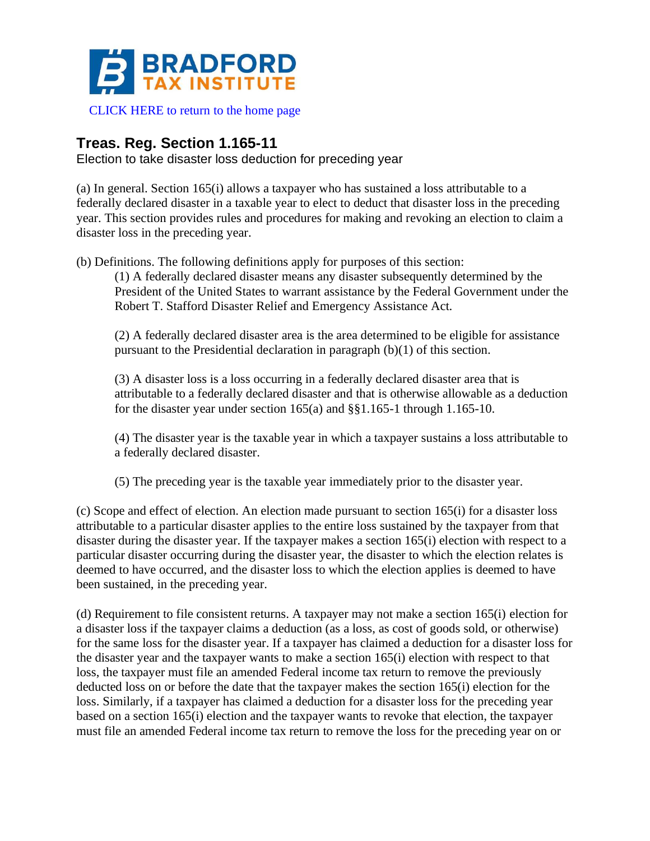

## **Treas. Reg. Section 1.165-11**

Election to take disaster loss deduction for preceding year

(a) In general. Section 165(i) allows a taxpayer who has sustained a loss attributable to a federally declared disaster in a taxable year to elect to deduct that disaster loss in the preceding year. This section provides rules and procedures for making and revoking an election to claim a disaster loss in the preceding year.

(b) Definitions. The following definitions apply for purposes of this section:

(1) A federally declared disaster means any disaster subsequently determined by the President of the United States to warrant assistance by the Federal Government under the Robert T. Stafford Disaster Relief and Emergency Assistance Act.

(2) A federally declared disaster area is the area determined to be eligible for assistance pursuant to the Presidential declaration in paragraph (b)(1) of this section.

(3) A disaster loss is a loss occurring in a federally declared disaster area that is attributable to a federally declared disaster and that is otherwise allowable as a deduction for the disaster year under section  $165(a)$  and  $\S$ §1.165-1 through 1.165-10.

(4) The disaster year is the taxable year in which a taxpayer sustains a loss attributable to a federally declared disaster.

(5) The preceding year is the taxable year immediately prior to the disaster year.

(c) Scope and effect of election. An election made pursuant to section 165(i) for a disaster loss attributable to a particular disaster applies to the entire loss sustained by the taxpayer from that disaster during the disaster year. If the taxpayer makes a section 165(i) election with respect to a particular disaster occurring during the disaster year, the disaster to which the election relates is deemed to have occurred, and the disaster loss to which the election applies is deemed to have been sustained, in the preceding year.

(d) Requirement to file consistent returns. A taxpayer may not make a section 165(i) election for a disaster loss if the taxpayer claims a deduction (as a loss, as cost of goods sold, or otherwise) for the same loss for the disaster year. If a taxpayer has claimed a deduction for a disaster loss for the disaster year and the taxpayer wants to make a section 165(i) election with respect to that loss, the taxpayer must file an amended Federal income tax return to remove the previously deducted loss on or before the date that the taxpayer makes the section 165(i) election for the loss. Similarly, if a taxpayer has claimed a deduction for a disaster loss for the preceding year based on a section 165(i) election and the taxpayer wants to revoke that election, the taxpayer must file an amended Federal income tax return to remove the loss for the preceding year on or